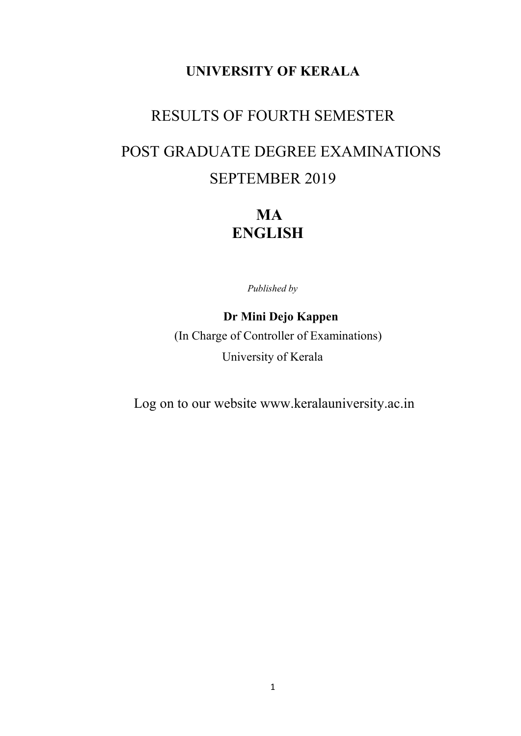## RESULTS OF FOURTH SEMESTER

# POST GRADUATE DEGREE EXAMINATIONS SEPTEMBER 2019

**MA** ENGLISH

Published by

### Dr Mini Dejo Kappen

 (In Charge of Controller of Examinations) University of Kerala

Log on to our website www.keralauniversity.ac.in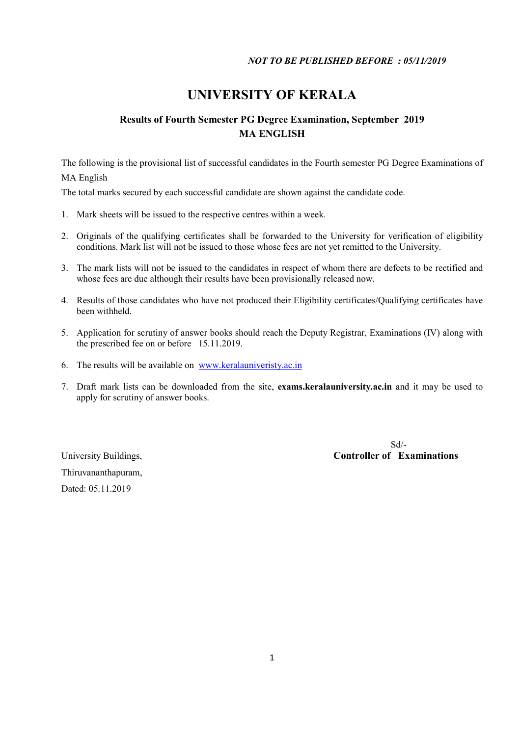### Results of Fourth Semester PG Degree Examination, September 2019 MA ENGLISH

The following is the provisional list of successful candidates in the Fourth semester PG Degree Examinations of MA English

The total marks secured by each successful candidate are shown against the candidate code.

- 1. Mark sheets will be issued to the respective centres within a week.
- 2. Originals of the qualifying certificates shall be forwarded to the University for verification of eligibility conditions. Mark list will not be issued to those whose fees are not yet remitted to the University.
- 3. The mark lists will not be issued to the candidates in respect of whom there are defects to be rectified and whose fees are due although their results have been provisionally released now.
- 4. Results of those candidates who have not produced their Eligibility certificates/Qualifying certificates have been withheld.
- 5. Application for scrutiny of answer books should reach the Deputy Registrar, Examinations (IV) along with the prescribed fee on or before 15.11.2019.
- 6. The results will be available on www.keralauniveristy.ac.in
- 7. Draft mark lists can be downloaded from the site, exams.keralauniversity.ac.in and it may be used to apply for scrutiny of answer books.

Thiruvananthapuram, Dated: 05.11.2019

 Sd/- University Buildings, Controller of Examinations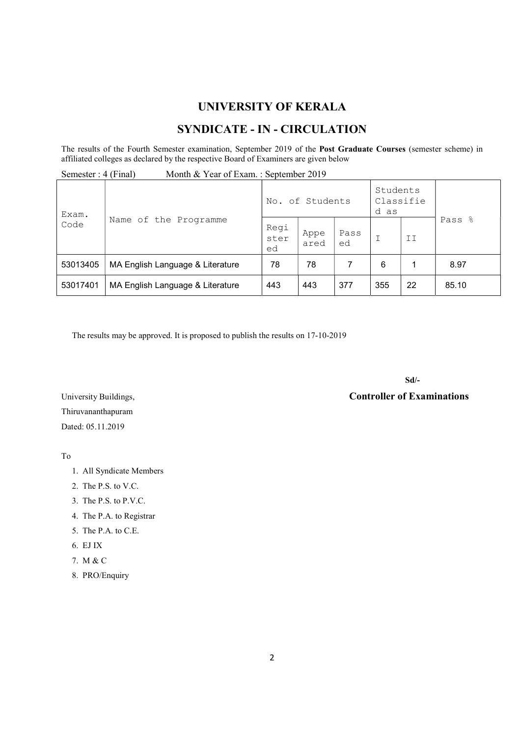### SYNDICATE - IN - CIRCULATION

The results of the Fourth Semester examination, September 2019 of the Post Graduate Courses (semester scheme) in affiliated colleges as declared by the respective Board of Examiners are given below

| Month & Year of Exam.: September 2019<br>Semester : 4 (Final) |                                  |                    |              |            |                               |    |        |
|---------------------------------------------------------------|----------------------------------|--------------------|--------------|------------|-------------------------------|----|--------|
| Exam.<br>Code                                                 |                                  | No. of Students    |              |            | Students<br>Classifie<br>d as |    |        |
|                                                               | Name of the Programme            | Regi<br>ster<br>ed | Appe<br>ared | Pass<br>ed |                               | II | Pass % |
| 53013405                                                      | MA English Language & Literature | 78                 | 78           |            | 6                             |    | 8.97   |
| 53017401                                                      | MA English Language & Literature | 443                | 443          | 377        | 355                           | 22 | 85.10  |

The results may be approved. It is proposed to publish the results on 17-10-2019

Sd/-

University Buildings, Controller of Examinations

Thiruvananthapuram Dated: 05.11.2019

To

#### 1. All Syndicate Members

- 2. The P.S. to V.C.
- 3. The P.S. to P.V.C.
- 4. The P.A. to Registrar
- 5. The P.A. to C.E.
- 6. EJ IX
- 7. M & C
- 8. PRO/Enquiry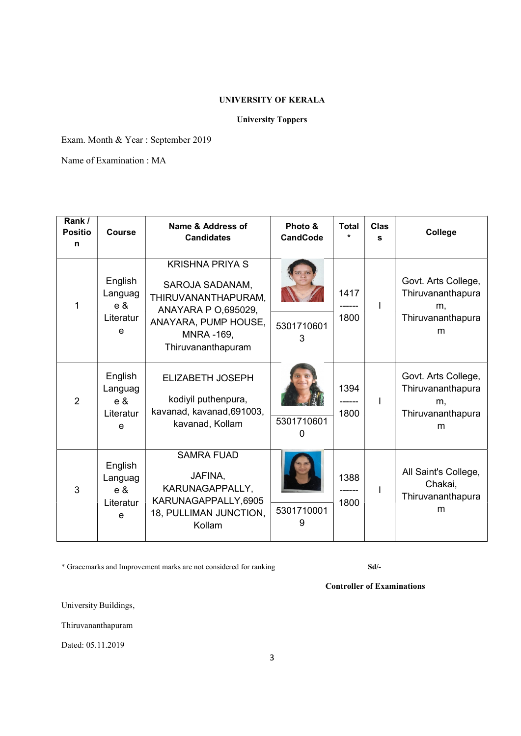### University Toppers

Exam. Month & Year : September 2019

Name of Examination : MA

| Rank /<br><b>Positio</b><br>n | <b>Course</b>                                  | Name & Address of<br><b>Candidates</b>                                                                                                                    | Photo &<br><b>CandCode</b> | <b>Total</b> | <b>Clas</b><br>s | College                                                                  |
|-------------------------------|------------------------------------------------|-----------------------------------------------------------------------------------------------------------------------------------------------------------|----------------------------|--------------|------------------|--------------------------------------------------------------------------|
|                               | English<br>Languag<br>$e \&$<br>Literatur<br>e | <b>KRISHNA PRIYA S</b><br>SAROJA SADANAM,<br>THIRUVANANTHAPURAM,<br>ANAYARA P O,695029,<br>ANAYARA, PUMP HOUSE,<br><b>MNRA-169,</b><br>Thiruvananthapuram | 5301710601<br>3            | 1417<br>1800 | ı                | Govt. Arts College,<br>Thiruvananthapura<br>m.<br>Thiruvananthapura<br>m |
| $\overline{2}$                | English<br>Languag<br>$e \&$<br>Literatur<br>e | <b>ELIZABETH JOSEPH</b><br>kodiyil puthenpura,<br>kavanad, kavanad, 691003,<br>kavanad, Kollam                                                            | 5301710601<br>0            | 1394<br>1800 |                  | Govt. Arts College,<br>Thiruvananthapura<br>m,<br>Thiruvananthapura<br>m |
| 3                             | English<br>Languag<br>$e \&$<br>Literatur<br>e | <b>SAMRA FUAD</b><br>JAFINA,<br>KARUNAGAPPALLY,<br>KARUNAGAPPALLY,6905<br>18, PULLIMAN JUNCTION,<br>Kollam                                                | 5301710001<br>9            | 1388<br>1800 |                  | All Saint's College,<br>Chakai,<br>Thiruvananthapura<br>m                |

\* Gracemarks and Improvement marks are not considered for ranking Sd/-

Controller of Examinations

University Buildings,

Thiruvananthapuram

Dated: 05.11.2019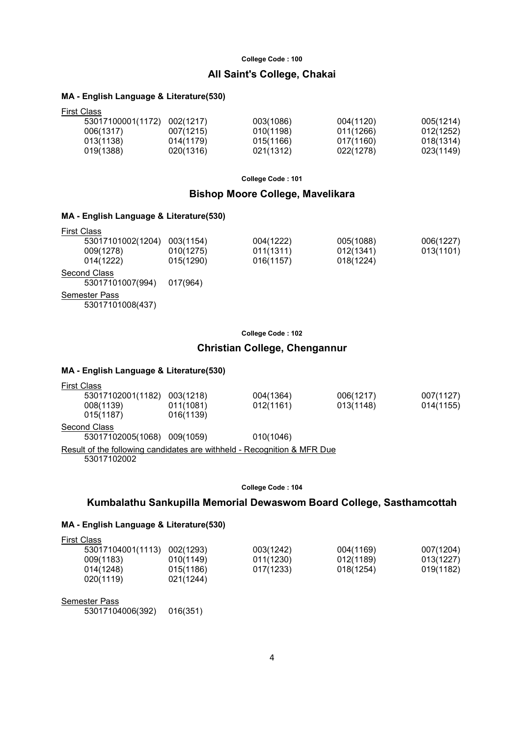### All Saint's College, Chakai

#### MA - English Language & Literature(530)

| <b>First Class</b> |           |           |           |           |  |  |
|--------------------|-----------|-----------|-----------|-----------|--|--|
| 53017100001(1172)  | 002(1217) | 003(1086) | 004(1120) | 005(1214) |  |  |
| 006(1317)          | 007(1215) | 010(1198) | 011(1266) | 012(1252) |  |  |
| 013(1138)          | 014(1179) | 015(1166) | 017(1160) | 018(1314) |  |  |
| 019(1388)          | 020(1316) | 021(1312) | 022(1278) | 023(1149) |  |  |
|                    |           |           |           |           |  |  |

College Code : 101

### Bishop Moore College, Mavelikara

### MA - English Language & Literature(530)

| <b>First Class</b> |           |           |           |           |
|--------------------|-----------|-----------|-----------|-----------|
| 53017101002(1204)  | 003(1154) | 004(1222) | 005(1088) | 006(1227) |
| 009(1278)          | 010(1275) | 011(1311) | 012(1341) | 013(1101) |
| 014(1222)          | 015(1290) | 016(1157) | 018(1224) |           |
| Second Class       |           |           |           |           |
| 53017101007(994)   | 017(964)  |           |           |           |
| Semester Pass      |           |           |           |           |

53017101008(437)

College Code : 102

### Christian College, Chengannur

### MA - English Language & Literature(530)

| 53017102001(1182)<br>003(1218) | 004(1364) | 006(1217) | 007(1127)                                                               |
|--------------------------------|-----------|-----------|-------------------------------------------------------------------------|
| 011(1081)                      | 012(1161) | 013(1148) | 014(1155)                                                               |
| 016(1139)                      |           |           |                                                                         |
|                                |           |           |                                                                         |
| 53017102005(1068)<br>009(1059) | 010(1046) |           |                                                                         |
|                                |           |           |                                                                         |
|                                |           |           | Result of the following candidates are withheld - Recognition & MFR Due |

#### College Code : 104

### Kumbalathu Sankupilla Memorial Dewaswom Board College, Sasthamcottah

### MA - English Language & Literature(530)

| <b>First Class</b> |           |           |           |           |
|--------------------|-----------|-----------|-----------|-----------|
| 53017104001(1113)  | 002(1293) | 003(1242) | 004(1169) | 007(1204) |
| 009(1183)          | 010(1149) | 011(1230) | 012(1189) | 013(1227) |
| 014(1248)          | 015(1186) | 017(1233) | 018(1254) | 019(1182) |
| 020(1119)          | 021(1244) |           |           |           |
|                    |           |           |           |           |

#### Semester Pass

53017104006(392) 016(351)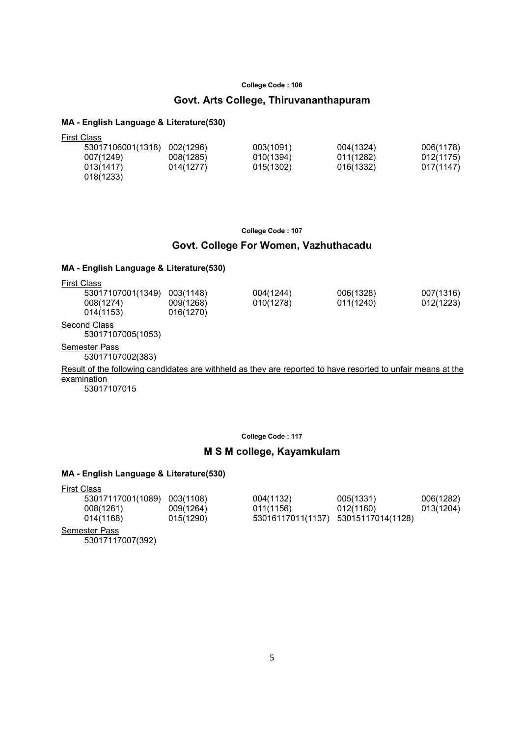### Govt. Arts College, Thiruvananthapuram

#### MA - English Language & Literature(530)

| <b>First Class</b> |           |           |           |           |
|--------------------|-----------|-----------|-----------|-----------|
| 53017106001(1318)  | 002(1296) | 003(1091) | 004(1324) | 006(1178) |
| 007(1249)          | 008(1285) | 010(1394) | 011(1282) | 012(1175) |
| 013(1417)          | 014(1277) | 015(1302) | 016(1332) | 017(1147) |
| 018(1233)          |           |           |           |           |

College Code : 107

### Govt. College For Women, Vazhuthacadu

### MA - English Language & Literature(530)

| <b>First Class</b>   |           |           |           |           |
|----------------------|-----------|-----------|-----------|-----------|
| 53017107001(1349)    | 003(1148) | 004(1244) | 006(1328) | 007(1316) |
| 008(1274)            | 009(1268) | 010(1278) | 011(1240) | 012(1223) |
| 014(1153)            | 016(1270) |           |           |           |
| Second Class         |           |           |           |           |
| 53017107005(1053)    |           |           |           |           |
| <b>Semester Pass</b> |           |           |           |           |

53017107002(383)

Result of the following candidates are withheld as they are reported to have resorted to unfair means at the examination

53017107015

College Code : 117

### M S M college, Kayamkulam

| <b>First Class</b>                       |           |                                     |           |           |
|------------------------------------------|-----------|-------------------------------------|-----------|-----------|
| 53017117001(1089)                        | 003(1108) | 004(1132)                           | 005(1331) | 006(1282) |
| 008(1261)                                | 009(1264) | 011(1156)                           | 012(1160) | 013(1204) |
| 014(1168)                                | 015(1290) | 53016117011(1137) 53015117014(1128) |           |           |
| <b>Semester Pass</b><br>53017117007(392) |           |                                     |           |           |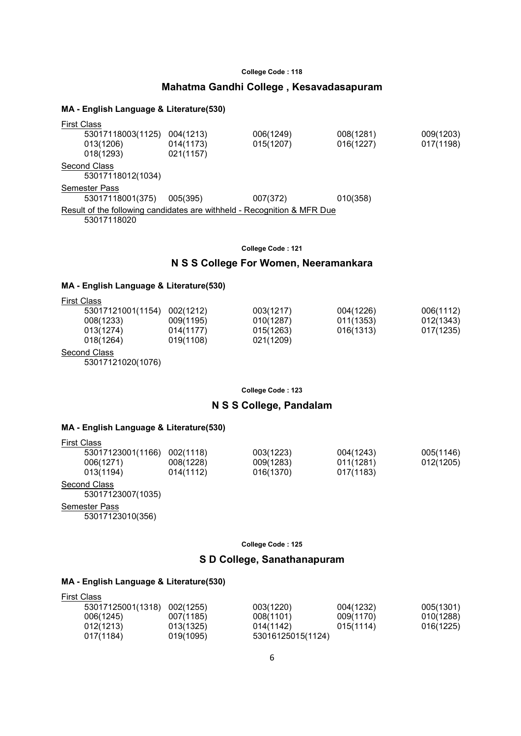### Mahatma Gandhi College , Kesavadasapuram

#### MA - English Language & Literature(530)

|                                                                         | First Class       |           |           |           |           |  |
|-------------------------------------------------------------------------|-------------------|-----------|-----------|-----------|-----------|--|
|                                                                         | 53017118003(1125) | 004(1213) | 006(1249) | 008(1281) | 009(1203) |  |
|                                                                         | 013(1206)         | 014(1173) | 015(1207) | 016(1227) | 017(1198) |  |
|                                                                         | 018(1293)         | 021(1157) |           |           |           |  |
|                                                                         | Second Class      |           |           |           |           |  |
|                                                                         | 53017118012(1034) |           |           |           |           |  |
|                                                                         | Semester Pass     |           |           |           |           |  |
|                                                                         | 53017118001(375)  | 005(395)  | 007(372)  | 010(358)  |           |  |
| Result of the following candidates are withheld - Recognition & MFR Due |                   |           |           |           |           |  |
|                                                                         | 53017118020       |           |           |           |           |  |
|                                                                         |                   |           |           |           |           |  |

College Code : 121

### N S S College For Women, Neeramankara

#### MA - English Language & Literature(530)

| <b>First Class</b> |           |           |           |           |
|--------------------|-----------|-----------|-----------|-----------|
| 53017121001(1154)  | 002(1212) | 003(1217) | 004(1226) | 006(1112) |
| 008(1233)          | 009(1195) | 010(1287) | 011(1353) | 012(1343) |
| 013(1274)          | 014(1177) | 015(1263) | 016(1313) | 017(1235) |
| 018(1264)          | 019(1108) | 021(1209) |           |           |
| $\sim$             |           |           |           |           |

Second Class

53017121020(1076)

College Code : 123

### N S S College, Pandalam

#### MA - English Language & Literature(530)

| <b>First Class</b> |           |           |           |           |
|--------------------|-----------|-----------|-----------|-----------|
| 53017123001(1166)  | 002(1118) | 003(1223) | 004(1243) | 005(1146) |
| 006(1271)          | 008(1228) | 009(1283) | 011(1281) | 012(1205) |
| 013(1194)          | 014(1112) | 016(1370) | 017(1183) |           |
|                    |           |           |           |           |

**Second Class** 

53017123007(1035)

Semester Pass

53017123010(356)

College Code : 125

### S D College, Sanathanapuram

| <b>First Class</b> |           |                   |           |           |
|--------------------|-----------|-------------------|-----------|-----------|
| 53017125001(1318)  | 002(1255) | 003(1220)         | 004(1232) | 005(1301) |
| 006(1245)          | 007(1185) | 008(1101)         | 009(1170) | 010(1288) |
| 012(1213)          | 013(1325) | 014(1142)         | 015(1114) | 016(1225) |
| 017(1184)          | 019(1095) | 53016125015(1124) |           |           |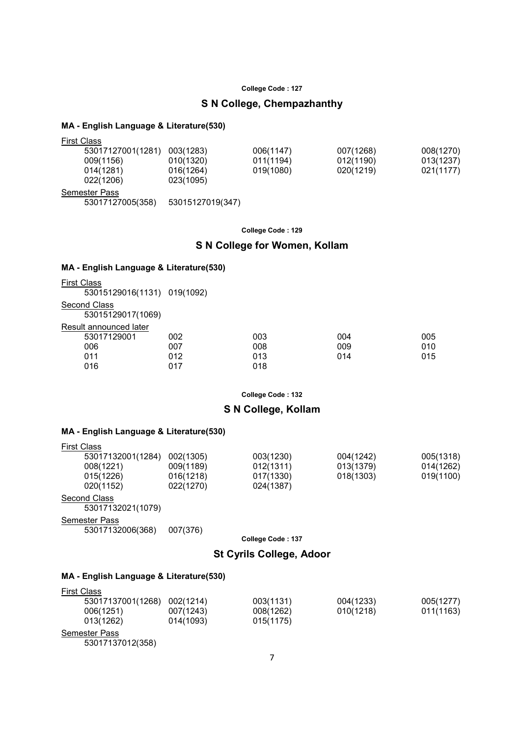### S N College, Chempazhanthy

### MA - English Language & Literature(530)

| <b>First Class</b>   |                  |           |           |           |
|----------------------|------------------|-----------|-----------|-----------|
| 53017127001(1281)    | 003(1283)        | 006(1147) | 007(1268) | 008(1270) |
| 009(1156)            | 010(1320)        | 011(1194) | 012(1190) | 013(1237) |
| 014(1281)            | 016(1264)        | 019(1080) | 020(1219) | 021(1177) |
| 022(1206)            | 023(1095)        |           |           |           |
| <b>Semester Pass</b> |                  |           |           |           |
| 53017127005(358)     | 53015127019(347) |           |           |           |

College Code : 129

### S N College for Women, Kollam

#### MA - English Language & Literature(530)

| <b>First Class</b>                |     |     |     |     |
|-----------------------------------|-----|-----|-----|-----|
| 53015129016(1131) 019(1092)       |     |     |     |     |
| Second Class<br>53015129017(1069) |     |     |     |     |
| Result announced later            |     |     |     |     |
| 53017129001                       | 002 | 003 | 004 | 005 |
| 006                               | 007 | 008 | 009 | 010 |
| 011                               | 012 | 013 | 014 | 015 |
| 016                               | 017 | 018 |     |     |

College Code : 132

### S N College, Kollam

### MA - English Language & Literature(530)

| <b>First Class</b>  |                   |           |                   |           |           |
|---------------------|-------------------|-----------|-------------------|-----------|-----------|
|                     | 53017132001(1284) | 002(1305) | 003(1230)         | 004(1242) | 005(1318) |
|                     | 008(1221)         | 009(1189) | 012(1311)         | 013(1379) | 014(1262) |
|                     | 015(1226)         | 016(1218) | 017(1330)         | 018(1303) | 019(1100) |
|                     | 020(1152)         | 022(1270) | 024(1387)         |           |           |
| <b>Second Class</b> | 53017132021(1079) |           |                   |           |           |
| Semester Pass       |                   |           |                   |           |           |
|                     | 53017132006(368)  | 007(376)  |                   |           |           |
|                     |                   |           | College Code: 137 |           |           |

### St Cyrils College, Adoor

| <b>First Class</b>   |           |           |           |           |
|----------------------|-----------|-----------|-----------|-----------|
| 53017137001(1268)    | 002(1214) | 003(1131) | 004(1233) | 005(1277) |
| 006(1251)            | 007(1243) | 008(1262) | 010(1218) | 011(1163) |
| 013(1262)            | 014(1093) | 015(1175) |           |           |
| <b>Semester Pass</b> |           |           |           |           |
| 53017137012(358)     |           |           |           |           |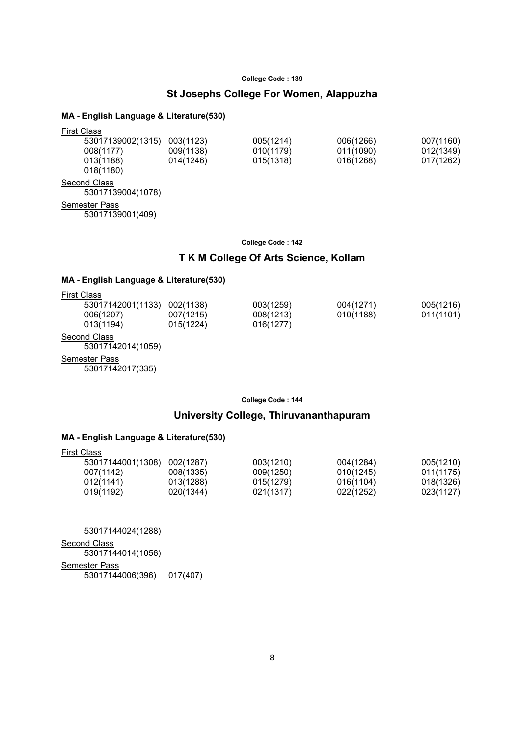### St Josephs College For Women, Alappuzha

#### MA - English Language & Literature(530)

| <b>First Class</b>                |           |           |           |           |
|-----------------------------------|-----------|-----------|-----------|-----------|
| 53017139002(1315)                 | 003(1123) | 005(1214) | 006(1266) | 007(1160) |
| 008(1177)                         | 009(1138) | 010(1179) | 011(1090) | 012(1349) |
| 013(1188)<br>018(1180)            | 014(1246) | 015(1318) | 016(1268) | 017(1262) |
| Second Class<br>53017139004(1078) |           |           |           |           |

Semester Pass

53017139001(409)

#### College Code : 142

### T K M College Of Arts Science, Kollam

### MA - English Language & Literature(530)

| <b>First Class</b>                       |                        |                        |                        |                        |
|------------------------------------------|------------------------|------------------------|------------------------|------------------------|
| 53017142001(1133)<br>006(1207)           | 002(1138)<br>007(1215) | 003(1259)<br>008(1213) | 004(1271)<br>010(1188) | 005(1216)<br>011(1101) |
| 013(1194)                                | 015(1224)              | 016(1277)              |                        |                        |
| Second Class<br>53017142014(1059)        |                        |                        |                        |                        |
| <b>Semester Pass</b><br>53017142017(335) |                        |                        |                        |                        |

College Code : 144

### University College, Thiruvananthapuram

#### MA - English Language & Literature(530)

| First Class       |           |           |           |           |
|-------------------|-----------|-----------|-----------|-----------|
| 53017144001(1308) | 002(1287) | 003(1210) | 004(1284) | 005(1210) |
| 007(1142)         | 008(1335) | 009(1250) | 010(1245) | 011(1175) |
| 012(1141)         | 013(1288) | 015(1279) | 016(1104) | 018(1326) |
| 019(1192)         | 020(1344) | 021(1317) | 022(1252) | 023(1127) |

 53017144024(1288) **Second Class**  53017144014(1056) Semester Pass 53017144006(396) 017(407)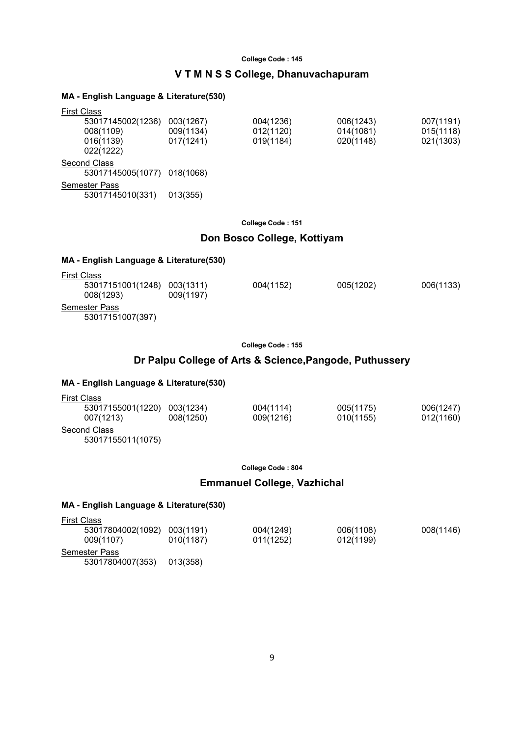### V T M N S S College, Dhanuvachapuram

#### MA - English Language & Literature(530)

| <b>First Class</b>          |           |           |           |           |
|-----------------------------|-----------|-----------|-----------|-----------|
| 53017145002(1236)           | 003(1267) | 004(1236) | 006(1243) | 007(1191) |
| 008(1109)                   | 009(1134) | 012(1120) | 014(1081) | 015(1118) |
| 016(1139)                   | 017(1241) | 019(1184) | 020(1148) | 021(1303) |
| 022(1222)                   |           |           |           |           |
| Second Class                |           |           |           |           |
| 53017145005(1077) 018(1068) |           |           |           |           |
| <b>Semester Pass</b>        |           |           |           |           |
| 53017145010(331)            | 013(355)  |           |           |           |
|                             |           |           |           |           |

#### College Code : 151

### Don Bosco College, Kottiyam

### MA - English Language & Literature(530)

| <b>First Class</b>                |                        |           |           |           |
|-----------------------------------|------------------------|-----------|-----------|-----------|
| 53017151001(1248)<br>008(1293)    | 003(1311)<br>009(1197) | 004(1152) | 005(1202) | 006(1133) |
| Semester Pass<br>53017151007(397) |                        |           |           |           |

#### College Code : 155

### Dr Palpu College of Arts & Science,Pangode, Puthussery

#### MA - English Language & Literature(530)

| <b>First Class</b> |           |           |           |           |
|--------------------|-----------|-----------|-----------|-----------|
| 53017155001(1220)  | 003(1234) | 004(1114) | 005(1175) | 006(1247) |
| 007(1213)          | 008(1250) | 009(1216) | 010(1155) | 012(1160) |
| Second Class       |           |           |           |           |
| 53017155011(1075)  |           |           |           |           |

College Code : 804

### Emmanuel College, Vazhichal

| <b>First Class</b> |           |           |           |           |
|--------------------|-----------|-----------|-----------|-----------|
| 53017804002(1092)  | 003(1191) | 004(1249) | 006(1108) | 008(1146) |
| 009(1107)          | 010(1187) | 011(1252) | 012(1199) |           |
| Semester Pass      |           |           |           |           |
| 53017804007(353)   | 013(358)  |           |           |           |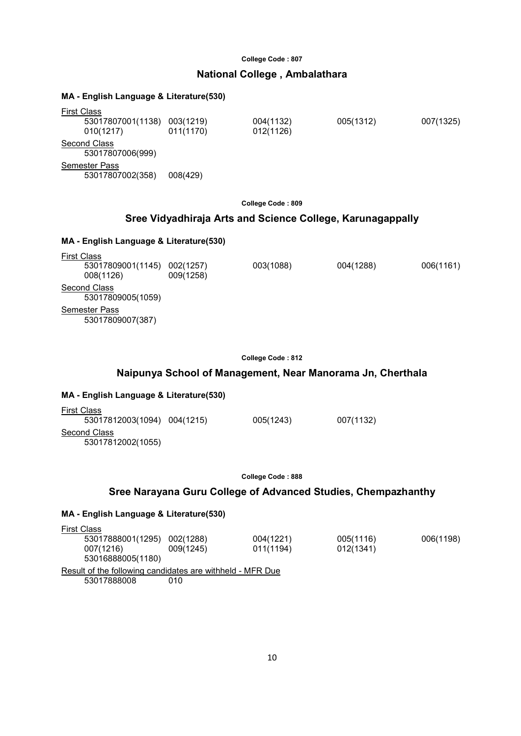### National College , Ambalathara

#### MA - English Language & Literature(530)

| <b>First Class</b> |                                  |                        |                        |           |           |
|--------------------|----------------------------------|------------------------|------------------------|-----------|-----------|
|                    | 53017807001(1138)<br>010(1217)   | 003(1219)<br>011(1170) | 004(1132)<br>012(1126) | 005(1312) | 007(1325) |
|                    | Second Class<br>53017807006(999) |                        |                        |           |           |
|                    | <b>Semester Pass</b>             |                        |                        |           |           |
|                    | 53017807002(358)                 | 008(429)               |                        |           |           |

College Code : 809

### Sree Vidyadhiraja Arts and Science College, Karunagappally

#### MA - English Language & Literature(530)

| <b>First Class</b>                |                        |           |           |           |
|-----------------------------------|------------------------|-----------|-----------|-----------|
| 53017809001(1145)<br>008(1126)    | 002(1257)<br>009(1258) | 003(1088) | 004(1288) | 006(1161) |
| Second Class<br>53017809005(1059) |                        |           |           |           |
| Semester Pass<br>53017809007(387) |                        |           |           |           |

College Code : 812

### Naipunya School of Management, Near Manorama Jn, Cherthala

#### MA - English Language & Literature(530)

| <b>First Class</b>          |           |           |
|-----------------------------|-----------|-----------|
| 53017812003(1094) 004(1215) | 005(1243) | 007(1132) |
| Second Class                |           |           |
| 53017812002(1055)           |           |           |

College Code : 888

#### Sree Narayana Guru College of Advanced Studies, Chempazhanthy

| <b>First Class</b>                                        |           |           |           |           |
|-----------------------------------------------------------|-----------|-----------|-----------|-----------|
| 53017888001(1295)                                         | 002(1288) | 004(1221) | 005(1116) | 006(1198) |
| 007(1216)                                                 | 009(1245) | 011(1194) | 012(1341) |           |
| 53016888005(1180)                                         |           |           |           |           |
| Result of the following candidates are withheld - MFR Due |           |           |           |           |
| 53017888008                                               | 010       |           |           |           |